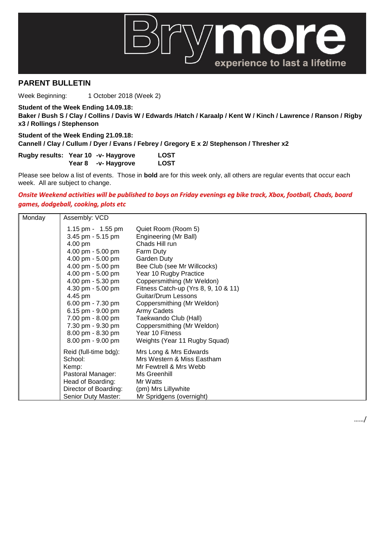

## **PARENT BULLETIN**

Week Beginning: 1 October 2018 (Week 2)

**Student of the Week Ending 14.09.18: Baker / Bush S / Clay / Collins / Davis W / Edwards /Hatch / Karaalp / Kent W / Kinch / Lawrence / Ranson / Rigby x3 / Rollings / Stephenson**

**Student of the Week Ending 21.09.18: Cannell / Clay / Cullum / Dyer / Evans / Febrey / Gregory E x 2/ Stephenson / Thresher x2**

**Rugby results: Year 10 -v- Haygrove LOST Year 8 -v- Haygrove LOST**

Please see below a list of events. Those in **bold** are for this week only, all others are regular events that occur each week. All are subject to change.

## *Onsite Weekend activities will be published to boys on Friday evenings eg bike track, Xbox, football, Chads, board games, dodgeball, cooking, plots etc*

| Monday | Assembly: VCD                                                                                                                                                                                                                                                                                                              |                                                                                                                                                                                                                                                                                                                                                                                                                 |
|--------|----------------------------------------------------------------------------------------------------------------------------------------------------------------------------------------------------------------------------------------------------------------------------------------------------------------------------|-----------------------------------------------------------------------------------------------------------------------------------------------------------------------------------------------------------------------------------------------------------------------------------------------------------------------------------------------------------------------------------------------------------------|
|        | 1.15 pm - 1.55 pm<br>3.45 pm - 5.15 pm<br>4.00 pm<br>4.00 pm - 5.00 pm<br>4.00 pm - 5.00 pm<br>4.00 pm - 5.00 pm<br>4.00 pm - 5.00 pm<br>4.00 pm - 5.30 pm<br>4.30 pm - 5.00 pm<br>4.45 pm<br>6.00 pm - 7.30 pm<br>6.15 pm - $9.00$ pm<br>7.00 pm - 8.00 pm<br>7.30 pm - 9.30 pm<br>8.00 pm - 8.30 pm<br>8.00 pm - 9.00 pm | Quiet Room (Room 5)<br>Engineering (Mr Ball)<br>Chads Hill run<br>Farm Duty<br>Garden Duty<br>Bee Club (see Mr Willcocks)<br>Year 10 Rugby Practice<br>Coppersmithing (Mr Weldon)<br>Fitness Catch-up (Yrs 8, 9, 10 & 11)<br><b>Guitar/Drum Lessons</b><br>Coppersmithing (Mr Weldon)<br>Army Cadets<br>Taekwando Club (Hall)<br>Coppersmithing (Mr Weldon)<br>Year 10 Fitness<br>Weights (Year 11 Rugby Squad) |
|        | Reid (full-time bdg):<br>School:<br>Kemp:<br>Pastoral Manager:<br>Head of Boarding:<br>Director of Boarding:<br>Senior Duty Master:                                                                                                                                                                                        | Mrs Long & Mrs Edwards<br>Mrs Western & Miss Eastham<br>Mr Fewtrell & Mrs Webb<br>Ms Greenhill<br>Mr Watts<br>(pm) Mrs Lillywhite<br>Mr Spridgens (overnight)                                                                                                                                                                                                                                                   |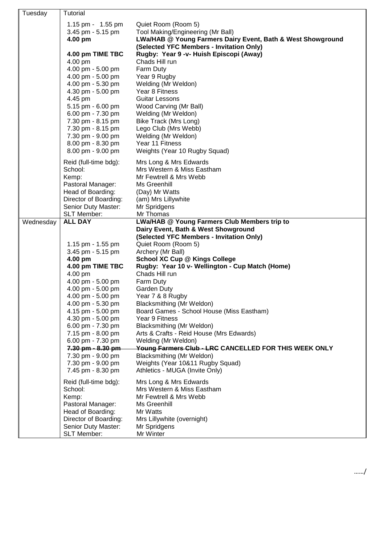| Tuesday   | Tutorial                               |                                                                                    |
|-----------|----------------------------------------|------------------------------------------------------------------------------------|
|           | 1.15 pm - 1.55 pm                      | Quiet Room (Room 5)                                                                |
|           | 3.45 pm - 5.15 pm                      | Tool Making/Engineering (Mr Ball)                                                  |
|           | 4.00 pm                                | LWa/HAB @ Young Farmers Dairy Event, Bath & West Showground                        |
|           |                                        | (Selected YFC Members - Invitation Only)                                           |
|           | 4.00 pm TIME TBC                       | Rugby: Year 9 -v- Huish Episcopi (Away)                                            |
|           | 4.00 pm                                | Chads Hill run                                                                     |
|           | 4.00 pm - 5.00 pm                      | Farm Duty                                                                          |
|           | 4.00 pm - 5.00 pm                      | Year 9 Rugby                                                                       |
|           | 4.00 pm - 5.30 pm                      | Welding (Mr Weldon)                                                                |
|           | 4.30 pm - 5.00 pm                      | Year 8 Fitness                                                                     |
|           | 4.45 pm                                | Guitar Lessons                                                                     |
|           | 5.15 pm - 6.00 pm                      | Wood Carving (Mr Ball)                                                             |
|           | 6.00 pm - 7.30 pm                      | Welding (Mr Weldon)                                                                |
|           | 7.30 pm - 8.15 pm                      | Bike Track (Mrs Long)                                                              |
|           | 7.30 pm - 8.15 pm                      | Lego Club (Mrs Webb)                                                               |
|           | 7.30 pm - 9.00 pm                      | Welding (Mr Weldon)                                                                |
|           | 8.00 pm - 8.30 pm                      | Year 11 Fitness                                                                    |
|           | 8.00 pm - 9.00 pm                      | Weights (Year 10 Rugby Squad)                                                      |
|           | Reid (full-time bdg):                  | Mrs Long & Mrs Edwards                                                             |
|           | School:                                | Mrs Western & Miss Eastham                                                         |
|           | Kemp:                                  | Mr Fewtrell & Mrs Webb                                                             |
|           | Pastoral Manager:                      | Ms Greenhill                                                                       |
|           | Head of Boarding:                      | (Day) Mr Watts                                                                     |
|           | Director of Boarding:                  | (am) Mrs Lillywhite                                                                |
|           | Senior Duty Master:                    | Mr Spridgens                                                                       |
|           | SLT Member:                            | Mr Thomas                                                                          |
| Wednesday | <b>ALL DAY</b>                         | LWa/HAB @ Young Farmers Club Members trip to                                       |
|           |                                        | Dairy Event, Bath & West Showground                                                |
|           |                                        | (Selected YFC Members - Invitation Only)                                           |
|           | 1.15 pm - 1.55 pm                      | Quiet Room (Room 5)                                                                |
|           | 3.45 pm - 5.15 pm                      | Archery (Mr Ball)                                                                  |
|           | 4.00 pm                                | <b>School XC Cup @ Kings College</b>                                               |
|           | 4.00 pm TIME TBC                       | Rugby: Year 10 v- Wellington - Cup Match (Home)                                    |
|           | 4.00 pm                                | Chads Hill run                                                                     |
|           | 4.00 pm - 5.00 pm                      | Farm Duty                                                                          |
|           | 4.00 pm - 5.00 pm                      | Garden Duty                                                                        |
|           | 4.00 pm - 5.00 pm                      | Year 7 & 8 Rugby                                                                   |
|           | 4.00 pm - 5.30 pm                      | Blacksmithing (Mr Weldon)                                                          |
|           | 4.15 pm - 5.00 pm                      | Board Games - School House (Miss Eastham)                                          |
|           | 4.30 pm - 5.00 pm                      | Year 9 Fitness                                                                     |
|           | 6.00 pm - 7.30 pm                      | Blacksmithing (Mr Weldon)                                                          |
|           | 7.15 pm - 8.00 pm                      | Arts & Crafts - Reid House (Mrs Edwards)                                           |
|           | 6.00 pm - 7.30 pm                      | Welding (Mr Weldon)                                                                |
|           | 7.30 pm - 8.30 pm                      | Young Farmers Club - LRC CANCELLED FOR THIS WEEK ONLY<br>Blacksmithing (Mr Weldon) |
|           | 7.30 pm - 9.00 pm<br>7.30 pm - 9.00 pm | Weights (Year 10&11 Rugby Squad)                                                   |
|           | 7.45 pm - 8.30 pm                      | Athletics - MUGA (Invite Only)                                                     |
|           |                                        |                                                                                    |
|           | Reid (full-time bdg):                  | Mrs Long & Mrs Edwards                                                             |
|           | School:                                | Mrs Western & Miss Eastham<br>Mr Fewtrell & Mrs Webb                               |
|           | Kemp:<br>Pastoral Manager:             | Ms Greenhill                                                                       |
|           | Head of Boarding:                      | Mr Watts                                                                           |
|           | Director of Boarding:                  | Mrs Lillywhite (overnight)                                                         |
|           | Senior Duty Master:                    | Mr Spridgens                                                                       |
|           | <b>SLT Member:</b>                     | Mr Winter                                                                          |
|           |                                        |                                                                                    |

……/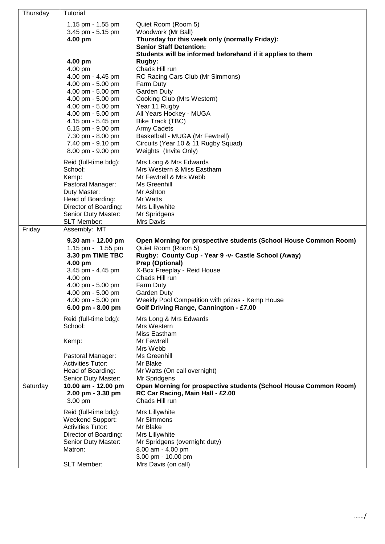| Thursday | Tutorial                                                                                                                                                                                                                                                  |                                                                                                                                                                                                                                                                                                                                                                               |
|----------|-----------------------------------------------------------------------------------------------------------------------------------------------------------------------------------------------------------------------------------------------------------|-------------------------------------------------------------------------------------------------------------------------------------------------------------------------------------------------------------------------------------------------------------------------------------------------------------------------------------------------------------------------------|
|          | 1.15 pm - 1.55 pm<br>3.45 pm - 5.15 pm<br>4.00 pm                                                                                                                                                                                                         | Quiet Room (Room 5)<br>Woodwork (Mr Ball)<br>Thursday for this week only (normally Friday):<br><b>Senior Staff Detention:</b>                                                                                                                                                                                                                                                 |
|          | 4.00 pm<br>4.00 pm<br>4.00 pm - 4.45 pm<br>4.00 pm - 5.00 pm<br>4.00 pm - 5.00 pm<br>4.00 pm - 5.00 pm<br>4.00 pm - 5.00 pm<br>4.00 pm - 5.00 pm<br>4.15 pm - 5.45 pm<br>6.15 pm - 9.00 pm<br>7.30 pm - 8.00 pm<br>7.40 pm - 9.10 pm<br>8.00 pm - 9.00 pm | Students will be informed beforehand if it applies to them<br>Rugby:<br>Chads Hill run<br>RC Racing Cars Club (Mr Simmons)<br>Farm Duty<br>Garden Duty<br>Cooking Club (Mrs Western)<br>Year 11 Rugby<br>All Years Hockey - MUGA<br>Bike Track (TBC)<br><b>Army Cadets</b><br>Basketball - MUGA (Mr Fewtrell)<br>Circuits (Year 10 & 11 Rugby Squad)<br>Weights (Invite Only) |
|          | Reid (full-time bdg):<br>School:<br>Kemp:<br>Pastoral Manager:<br>Duty Master:<br>Head of Boarding:<br>Director of Boarding:<br>Senior Duty Master:<br><b>SLT Member:</b>                                                                                 | Mrs Long & Mrs Edwards<br>Mrs Western & Miss Eastham<br>Mr Fewtrell & Mrs Webb<br>Ms Greenhill<br>Mr Ashton<br>Mr Watts<br>Mrs Lillywhite<br>Mr Spridgens<br>Mrs Davis                                                                                                                                                                                                        |
| Friday   | Assembly: MT<br>9.30 am - 12.00 pm<br>1.15 pm - 1.55 pm<br>3.30 pm TIME TBC<br>4.00 pm<br>3.45 pm - 4.45 pm<br>4.00 pm<br>4.00 pm - 5.00 pm<br>4.00 pm - 5.00 pm<br>4.00 pm - 5.00 pm<br>6.00 pm - 8.00 pm                                                | Open Morning for prospective students (School House Common Room)<br>Quiet Room (Room 5)<br>Rugby: County Cup - Year 9 -v- Castle School (Away)<br>Prep (Optional)<br>X-Box Freeplay - Reid House<br>Chads Hill run<br>Farm Duty<br>Garden Duty<br>Weekly Pool Competition with prizes - Kemp House<br>Golf Driving Range, Cannington - £7.00                                  |
|          | Reid (full-time bdg):<br>School:<br>Kemp:<br>Pastoral Manager:<br><b>Activities Tutor:</b><br>Head of Boarding:<br>Senior Duty Master:                                                                                                                    | Mrs Long & Mrs Edwards<br>Mrs Western<br>Miss Eastham<br>Mr Fewtrell<br>Mrs Webb<br>Ms Greenhill<br>Mr Blake<br>Mr Watts (On call overnight)<br>Mr Spridgens                                                                                                                                                                                                                  |
| Saturday | 10.00 am - 12.00 pm<br>2.00 pm - 3.30 pm<br>3.00 pm                                                                                                                                                                                                       | Open Morning for prospective students (School House Common Room)<br>RC Car Racing, Main Hall - £2.00<br>Chads Hill run                                                                                                                                                                                                                                                        |
|          | Reid (full-time bdg):<br>Weekend Support:<br><b>Activities Tutor:</b><br>Director of Boarding:<br>Senior Duty Master:<br>Matron:<br>SLT Member:                                                                                                           | Mrs Lillywhite<br>Mr Simmons<br>Mr Blake<br>Mrs Lillywhite<br>Mr Spridgens (overnight duty)<br>8.00 am - 4.00 pm<br>3.00 pm - 10.00 pm<br>Mrs Davis (on call)                                                                                                                                                                                                                 |